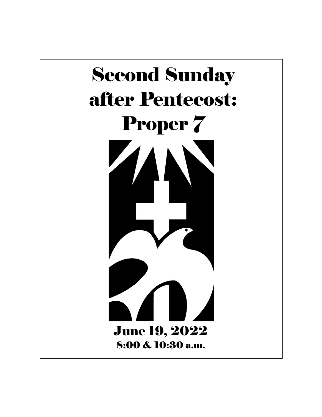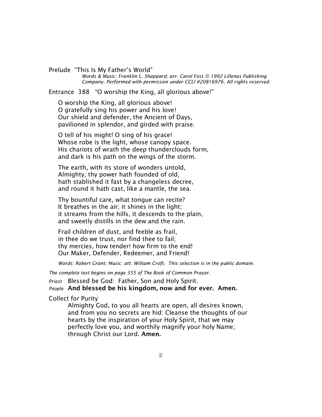Prelude "This Is My Father's World"  *Words & Music: Franklin L. Shappard; arr. Carol Foss © 1992 Lillenas Publishing Company. Performed with permission under CCLI #20816976. All rights reserved.*

Entrance 388 "O worship the King, all glorious above!"

O worship the King, all glorious above! O gratefully sing his power and his love! Our shield and defender, the Ancient of Days, pavilioned in splendor, and girded with praise.

O tell of his might! O sing of his grace! Whose robe is the light, whose canopy space. His chariots of wrath the deep thunderclouds form, and dark is his path on the wings of the storm.

The earth, with its store of wonders untold, Almighty, thy power hath founded of old, hath stablished it fast by a changeless decree, and round it hath cast, like a mantle, the sea.

Thy bountiful care, what tongue can recite? It breathes in the air; it shines in the light; it streams from the hills, it descends to the plain, and sweetly distills in the dew and the rain.

Frail children of dust, and feeble as frail, in thee do we trust, nor find thee to fail; thy mercies, how tender! how firm to the end! Our Maker, Defender, Redeemer, and Friend!

*Words: Robert Grant; Music: att. William Croft. This selection is in the public domain.*

*The complete text begins on page 355 of The Book of Common Prayer.*

*Priest* Blessed be God: Father, Son and Holy Spirit. *People* And blessed be his kingdom, now and for ever. Amen.

Collect for Purity

Almighty God, to you all hearts are open, all desires known, and from you no secrets are hid: Cleanse the thoughts of our hearts by the inspiration of your Holy Spirit, that we may perfectly love you, and worthily magnify your holy Name; through Christ our Lord. Amen.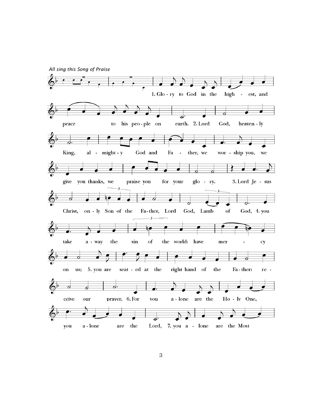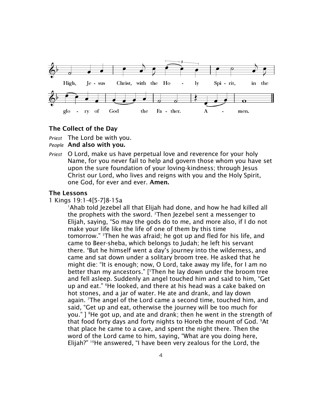

# The Collect of the Day

*Priest* The Lord be with you.

### *People* And also with you.

*Priest* O Lord, make us have perpetual love and reverence for your holy Name, for you never fail to help and govern those whom you have set upon the sure foundation of your loving-kindness; through Jesus Christ our Lord, who lives and reigns with you and the Holy Spirit, one God, for ever and ever. Amen.

#### The Lessons

1 Kings 19:1-4[5-7]8-15a

<sup>1</sup>Ahab told Jezebel all that Elijah had done, and how he had killed all the prophets with the sword. <sup>2</sup>Then Jezebel sent a messenger to Elijah, saying, "So may the gods do to me, and more also, if I do not make your life like the life of one of them by this time tomorrow." <sup>3</sup>Then he was afraid; he got up and fled for his life, and came to Beer-sheba, which belongs to Judah; he left his servant there. 4But he himself went a day's journey into the wilderness, and came and sat down under a solitary broom tree. He asked that he might die: "It is enough; now, O Lord, take away my life, for I am no better than my ancestors." [5Then he lay down under the broom tree and fell asleep. Suddenly an angel touched him and said to him, "Get up and eat." <sup>6</sup>He looked, and there at his head was a cake baked on hot stones, and a jar of water. He ate and drank, and lay down again. <sup>7</sup>The angel of the Lord came a second time, touched him, and said, "Get up and eat, otherwise the journey will be too much for you."  $\mathbb{I}^8$ He got up, and ate and drank; then he went in the strength of that food forty days and forty nights to Horeb the mount of God. <sup>9</sup>At that place he came to a cave, and spent the night there. Then the word of the Lord came to him, saying, "What are you doing here, Elijah?" <sup>10</sup>He answered, "I have been very zealous for the Lord, the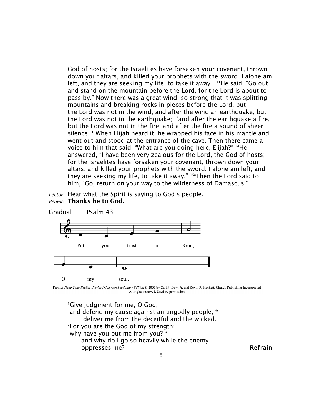God of hosts; for the Israelites have forsaken your covenant, thrown down your altars, and killed your prophets with the sword. I alone am left, and they are seeking my life, to take it away." <sup>11</sup>He said, "Go out and stand on the mountain before the Lord, for the Lord is about to pass by." Now there was a great wind, so strong that it was splitting mountains and breaking rocks in pieces before the Lord, but the Lord was not in the wind; and after the wind an earthquake, but the Lord was not in the earthquake;  $12$  and after the earthquake a fire, but the Lord was not in the fire; and after the fire a sound of sheer silence. <sup>13</sup>When Elijah heard it, he wrapped his face in his mantle and went out and stood at the entrance of the cave. Then there came a voice to him that said, "What are you doing here, Elijah?" <sup>14</sup>He answered, "I have been very zealous for the Lord, the God of hosts; for the Israelites have forsaken your covenant, thrown down your altars, and killed your prophets with the sword. I alone am left, and they are seeking my life, to take it away." 15aThen the Lord said to him, "Go, return on your way to the wilderness of Damascus."

*Lector* Hear what the Spirit is saying to God's people. *People* Thanks be to God.



From A HymnTune Psalter, Revised Common Lectionary Edition © 2007 by Carl P. Daw, Jr. and Kevin R. Hackett. Church Publishing Incorporated. All rights reserved. Used by permission.

<sup>1</sup>Give judgment for me, O God, and defend my cause against an ungodly people; \* deliver me from the deceitful and the wicked. <sup>2</sup>For you are the God of my strength; why have you put me from you? \* and why do I go so heavily while the enemy oppresses me? **Refrain**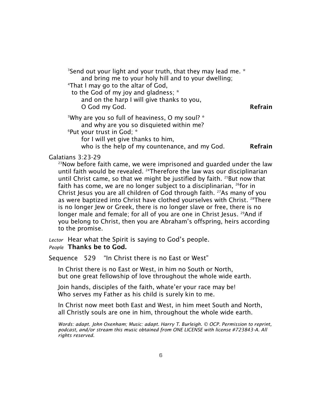<sup>3</sup>Send out your light and your truth, that they may lead me. \* and bring me to your holy hill and to your dwelling; <sup>4</sup>That I may go to the altar of God, to the God of my joy and gladness; \* and on the harp I will give thanks to you, O God my God. **Refrain** <sup>5</sup>Why are you so full of heaviness, O my soul? \* and why are you so disquieted within me? <sup>6</sup>Put your trust in God; \* for I will yet give thanks to him, who is the help of my countenance, and my  $God.$  Refrain

### Galatians 3:23-29

 $23$ Now before faith came, we were imprisoned and guarded under the law until faith would be revealed. <sup>24</sup>Therefore the law was our disciplinarian until Christ came, so that we might be justified by faith. <sup>25</sup>But now that faith has come, we are no longer subject to a disciplinarian,  $^{26}$  for in Christ Jesus you are all children of God through faith. <sup>27</sup>As many of you as were baptized into Christ have clothed yourselves with Christ. <sup>28</sup>There is no longer Jew or Greek, there is no longer slave or free, there is no longer male and female; for all of you are one in Christ Jesus. <sup>29</sup>And if you belong to Christ, then you are Abraham's offspring, heirs according to the promise.

*Lector* Hear what the Spirit is saying to God's people. *People* Thanks be to God.

Sequence 529 "In Christ there is no East or West"

In Christ there is no East or West, in him no South or North, but one great fellowship of love throughout the whole wide earth.

Join hands, disciples of the faith, whate'er your race may be! Who serves my Father as his child is surely kin to me.

In Christ now meet both East and West, in him meet South and North, all Christly souls are one in him, throughout the whole wide earth.

*Words: adapt. John Oxenham; Music: adapt. Harry T. Burleigh. © OCP. Permission to reprint, podcast, and/or stream this music obtained from ONE LICENSE with license #723843-A. All rights reserved.*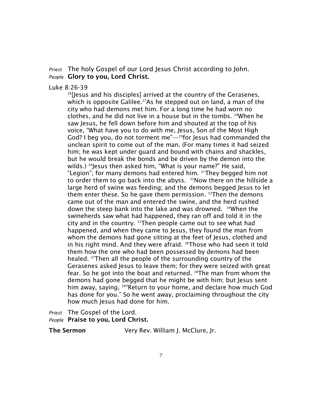*Priest* The holy Gospel of our Lord Jesus Christ according to John. *People* Glory to you, Lord Christ.

### Luke 8:26-39

<sup>26</sup>[Jesus and his disciples] arrived at the country of the Gerasenes, which is opposite Galilee.<sup>27</sup>As he stepped out on land, a man of the city who had demons met him. For a long time he had worn no clothes, and he did not live in a house but in the tombs. <sup>28</sup>When he saw Jesus, he fell down before him and shouted at the top of his voice, "What have you to do with me, Jesus, Son of the Most High God? I beg you, do not torment me $\frac{m}{2}$ for Jesus had commanded the unclean spirit to come out of the man. (For many times it had seized him; he was kept under guard and bound with chains and shackles, but he would break the bonds and be driven by the demon into the wilds.) <sup>30</sup>Jesus then asked him, "What is your name?" He said, "Legion"; for many demons had entered him. <sup>31</sup>They begged him not to order them to go back into the abyss. <sup>32</sup>Now there on the hillside a large herd of swine was feeding; and the demons begged Jesus to let them enter these. So he gave them permission.  $33$ Then the demons came out of the man and entered the swine, and the herd rushed down the steep bank into the lake and was drowned. <sup>34</sup>When the swineherds saw what had happened, they ran off and told it in the city and in the country. <sup>35</sup>Then people came out to see what had happened, and when they came to Jesus, they found the man from whom the demons had gone sitting at the feet of Jesus, clothed and in his right mind. And they were afraid.  $36$ Those who had seen it told them how the one who had been possessed by demons had been healed. <sup>37</sup>Then all the people of the surrounding country of the Gerasenes asked Jesus to leave them; for they were seized with great fear. So he got into the boat and returned. <sup>38</sup>The man from whom the demons had gone begged that he might be with him; but Jesus sent him away, saying, <sup>39"</sup>Return to your home, and declare how much God has done for you." So he went away, proclaiming throughout the city how much Jesus had done for him.

*Priest* The Gospel of the Lord.

*People* Praise to you, Lord Christ.

The Sermon Very Rev. William J. McClure, Jr.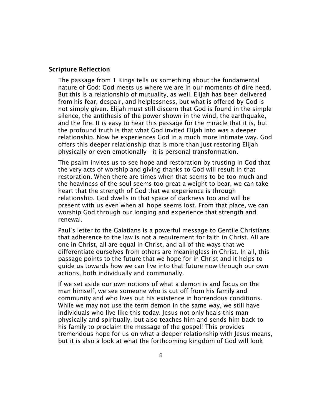### Scripture Reflection

The passage from 1 Kings tells us something about the fundamental nature of God: God meets us where we are in our moments of dire need. But this is a relationship of mutuality, as well. Elijah has been delivered from his fear, despair, and helplessness, but what is offered by God is not simply given. Elijah must still discern that God is found in the simple silence, the antithesis of the power shown in the wind, the earthquake, and the fire. It is easy to hear this passage for the miracle that it is, but the profound truth is that what God invited Elijah into was a deeper relationship. Now he experiences God in a much more intimate way. God offers this deeper relationship that is more than just restoring Elijah physically or even emotionally—it is personal transformation.

The psalm invites us to see hope and restoration by trusting in God that the very acts of worship and giving thanks to God will result in that restoration. When there are times when that seems to be too much and the heaviness of the soul seems too great a weight to bear, we can take heart that the strength of God that we experience is through relationship. God dwells in that space of darkness too and will be present with us even when all hope seems lost. From that place, we can worship God through our longing and experience that strength and renewal.

Paul's letter to the Galatians is a powerful message to Gentile Christians that adherence to the law is not a requirement for faith in Christ. All are one in Christ, all are equal in Christ, and all of the ways that we differentiate ourselves from others are meaningless in Christ. In all, this passage points to the future that we hope for in Christ and it helps to guide us towards how we can live into that future now through our own actions, both individually and communally.

If we set aside our own notions of what a demon is and focus on the man himself, we see someone who is cut off from his family and community and who lives out his existence in horrendous conditions. While we may not use the term demon in the same way, we still have individuals who live like this today. Jesus not only heals this man physically and spiritually, but also teaches him and sends him back to his family to proclaim the message of the gospel! This provides tremendous hope for us on what a deeper relationship with Jesus means, but it is also a look at what the forthcoming kingdom of God will look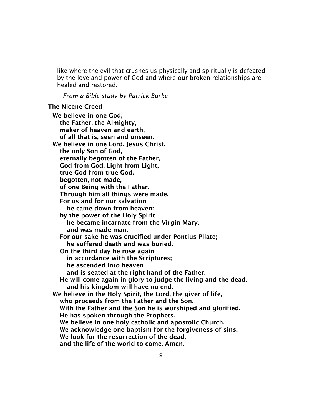like where the evil that crushes us physically and spiritually is defeated by the love and power of God and where our broken relationships are healed and restored.

*-- From a Bible study by Patrick Burke*

### The Nicene Creed

We believe in one God, the Father, the Almighty, maker of heaven and earth, of all that is, seen and unseen. We believe in one Lord, Jesus Christ, the only Son of God, eternally begotten of the Father, God from God, Light from Light, true God from true God, begotten, not made, of one Being with the Father. Through him all things were made. For us and for our salvation he came down from heaven: by the power of the Holy Spirit he became incarnate from the Virgin Mary, and was made man. For our sake he was crucified under Pontius Pilate; he suffered death and was buried. On the third day he rose again in accordance with the Scriptures; he ascended into heaven and is seated at the right hand of the Father. He will come again in glory to judge the living and the dead, and his kingdom will have no end. We believe in the Holy Spirit, the Lord, the giver of life, who proceeds from the Father and the Son. With the Father and the Son he is worshiped and glorified. He has spoken through the Prophets. We believe in one holy catholic and apostolic Church. We acknowledge one baptism for the forgiveness of sins. We look for the resurrection of the dead, and the life of the world to come. Amen.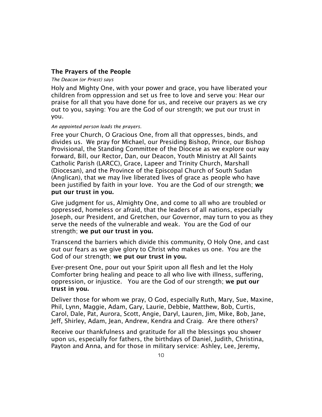# The Prayers of the People

#### *The Deacon (or Priest) says*

Holy and Mighty One, with your power and grace, you have liberated your children from oppression and set us free to love and serve you: Hear our praise for all that you have done for us, and receive our prayers as we cry out to you, saying: You are the God of our strength; we put our trust in you.

#### *An appointed person leads the prayers.*

Free your Church, O Gracious One, from all that oppresses, binds, and divides us. We pray for Michael, our Presiding Bishop, Prince, our Bishop Provisional, the Standing Committee of the Diocese as we explore our way forward, Bill, our Rector, Dan, our Deacon, Youth Ministry at All Saints Catholic Parish (LARCC), Grace, Lapeer and Trinity Church, Marshall (Diocesan), and the Province of the Episcopal Church of South Sudan (Anglican), that we may live liberated lives of grace as people who have been justified by faith in your love. You are the God of our strength; we put our trust in you.

Give judgment for us, Almighty One, and come to all who are troubled or oppressed, homeless or afraid, that the leaders of all nations, especially Joseph, our President, and Gretchen, our Governor, may turn to you as they serve the needs of the vulnerable and weak. You are the God of our strength; we put our trust in you.

Transcend the barriers which divide this community, O Holy One, and cast out our fears as we give glory to Christ who makes us one. You are the God of our strength; we put our trust in you.

Ever-present One, pour out your Spirit upon all flesh and let the Holy Comforter bring healing and peace to all who live with illness, suffering, oppression, or injustice. You are the God of our strength; we put our trust in you.

Deliver those for whom we pray, O God, especially Ruth, Mary, Sue, Maxine, Phil, Lynn, Maggie, Adam, Gary, Laurie, Debbie, Matthew, Bob, Curtis, Carol, Dale, Pat, Aurora, Scott, Angie, Daryl, Lauren, Jim, Mike, Bob, Jane, Jeff, Shirley, Adam, Jean, Andrew, Kendra and Craig. Are there others?

Receive our thankfulness and gratitude for all the blessings you shower upon us, especially for fathers, the birthdays of Daniel, Judith, Christina, Payton and Anna, and for those in military service: Ashley, Lee, Jeremy,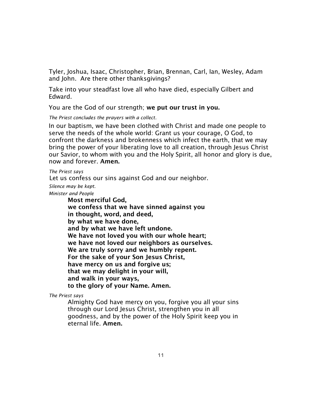Tyler, Joshua, Isaac, Christopher, Brian, Brennan, Carl, Ian, Wesley, Adam and John. Are there other thanksgivings?

Take into your steadfast love all who have died, especially Gilbert and Edward.

You are the God of our strength; we put our trust in you.

*The Priest concludes the prayers with a collect.*

In our baptism, we have been clothed with Christ and made one people to serve the needs of the whole world: Grant us your courage, O God, to confront the darkness and brokenness which infect the earth, that we may bring the power of your liberating love to all creation, through Jesus Christ our Savior, to whom with you and the Holy Spirit, all honor and glory is due, now and forever. Amen.

#### *The Priest says*

Let us confess our sins against God and our neighbor.

*Silence may be kept.*

*Minister and People*

Most merciful God, we confess that we have sinned against you in thought, word, and deed, by what we have done, and by what we have left undone. We have not loved you with our whole heart; we have not loved our neighbors as ourselves. We are truly sorry and we humbly repent. For the sake of your Son Jesus Christ, have mercy on us and forgive us; that we may delight in your will, and walk in your ways, to the glory of your Name. Amen.

*The Priest says*

Almighty God have mercy on you, forgive you all your sins through our Lord Jesus Christ, strengthen you in all goodness, and by the power of the Holy Spirit keep you in eternal life. Amen.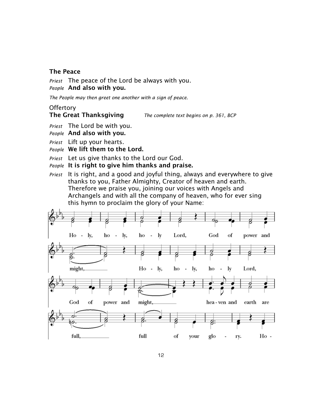# The Peace

*Priest* The peace of the Lord be always with you. *People* And also with you.

*The People may then greet one another with a sign of peace.* 

## **Offertory**

# The Great Thanksgiving *The complete text begins on p. 361, BCP*

*Priest* The Lord be with you.

*People* And also with you.

*Priest* Lift up your hearts.

*People* We lift them to the Lord.

*Priest* Let us give thanks to the Lord our God.

*People* It is right to give him thanks and praise.

*Priest* It is right, and a good and joyful thing, always and everywhere to give thanks to you, Father Almighty, Creator of heaven and earth. Therefore we praise you, joining our voices with Angels and Archangels and with all the company of heaven, who for ever sing this hymn to proclaim the glory of your Name:

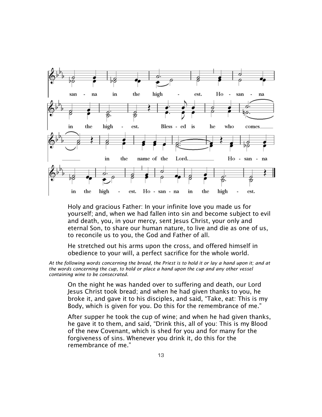

Holy and gracious Father: In your infinite love you made us for yourself; and, when we had fallen into sin and become subject to evil and death, you, in your mercy, sent Jesus Christ, your only and eternal Son, to share our human nature, to live and die as one of us, to reconcile us to you, the God and Father of all.

He stretched out his arms upon the cross, and offered himself in obedience to your will, a perfect sacrifice for the whole world.

*At the following words concerning the bread, the Priest is to hold it or lay a hand upon it; and at the words concerning the cup, to hold or place a hand upon the cup and any other vessel containing wine to be consecrated.* 

On the night he was handed over to suffering and death, our Lord Jesus Christ took bread; and when he had given thanks to you, he broke it, and gave it to his disciples, and said, "Take, eat: This is my Body, which is given for you. Do this for the remembrance of me."

After supper he took the cup of wine; and when he had given thanks, he gave it to them, and said, "Drink this, all of you: This is my Blood of the new Covenant, which is shed for you and for many for the forgiveness of sins. Whenever you drink it, do this for the remembrance of me."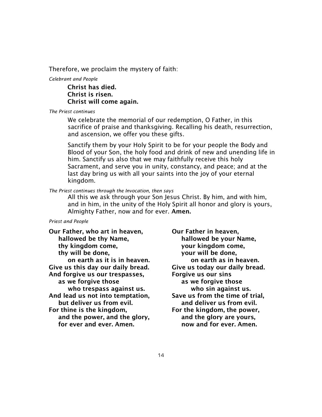Therefore, we proclaim the mystery of faith:

*Celebrant and People*

Christ has died. Christ is risen. Christ will come again.

*The Priest continues* 

We celebrate the memorial of our redemption, O Father, in this sacrifice of praise and thanksgiving. Recalling his death, resurrection, and ascension, we offer you these gifts.

Sanctify them by your Holy Spirit to be for your people the Body and Blood of your Son, the holy food and drink of new and unending life in him. Sanctify us also that we may faithfully receive this holy Sacrament, and serve you in unity, constancy, and peace; and at the last day bring us with all your saints into the joy of your eternal kingdom.

#### *The Priest continues through the Invocation, then says*

All this we ask through your Son Jesus Christ. By him, and with him, and in him, in the unity of the Holy Spirit all honor and glory is yours, Almighty Father, now and for ever. Amen.

#### *Priest and People*

Our Father, who art in heaven, Our Father in heaven, hallowed be thy Name, hallowed be your Name, thy kingdom come, your kingdom come, thy will be done, the wour will be done, Give us this day our daily bread. Give us today our daily bread. And forgive us our trespasses, Forgive us our sins as we forgive those as we forgive those who trespass against us. **who sine against us.** And lead us not into temptation, Save us from the time of trial, but deliver us from evil. and deliver us from evil. For thine is the kingdom, For the kingdom, the power, and the power, and the glory, and the glory are yours, for ever and ever. Amen. The now and for ever. Amen.

on earth as it is in heaven.<br> **on earth as it is in heaven.**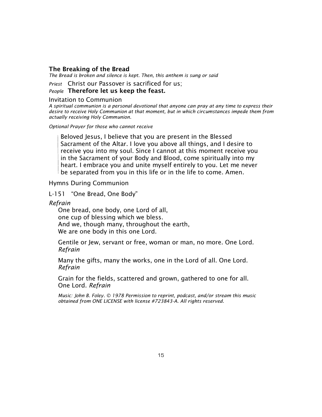#### The Breaking of the Bread

*The Bread is broken and silence is kept. Then, this anthem is sung or said* 

*Priest* Christ our Passover is sacrificed for us;

*People* Therefore let us keep the feast.

#### Invitation to Communion

*A spiritual communion is a personal devotional that anyone can pray at any time to express their desire to receive Holy Communion at that moment, but in which circumstances impede them from actually receiving Holy Communion.* 

*Optional Prayer for those who cannot receive*

Beloved Jesus, I believe that you are present in the Blessed Sacrament of the Altar. I love you above all things, and I desire to receive you into my soul. Since I cannot at this moment receive you in the Sacrament of your Body and Blood, come spiritually into my heart. I embrace you and unite myself entirely to you. Let me never  $\mathbin{\mathsf{I}}$  be separated from you in this life or in the life to come. Amen.

Hymns During Communion

L-151 "One Bread, One Body"

*Refrain*

One bread, one body, one Lord of all, one cup of blessing which we bless. And we, though many, throughout the earth, We are one body in this one Lord.

Gentile or Jew, servant or free, woman or man, no more. One Lord. *Refrain*

Many the gifts, many the works, one in the Lord of all. One Lord. *Refrain*

Grain for the fields, scattered and grown, gathered to one for all. One Lord. *Refrain*

*Music: John B. Foley. © 1978 Permission to reprint, podcast, and/or stream this music obtained from ONE LICENSE with license #723843-A. All rights reserved.*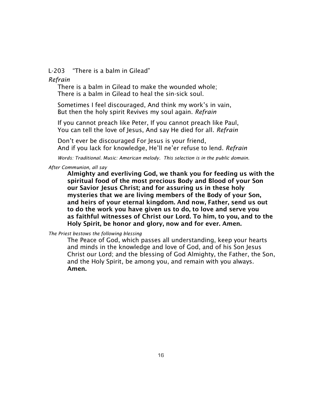L-203 "There is a balm in Gilead"

*Refrain*

There is a balm in Gilead to make the wounded whole; There is a balm in Gilead to heal the sin-sick soul.

Sometimes I feel discouraged, And think my work's in vain, But then the holy spirit Revives my soul again. *Refrain*

If you cannot preach like Peter, If you cannot preach like Paul, You can tell the love of Jesus, And say He died for all. *Refrain*

Don't ever be discouraged For Jesus is your friend, And if you lack for knowledge, He'll ne'er refuse to lend. *Refrain*

*Words: Traditional. Music: American melody. This selection is in the public domain.*

*After Communion, all say*

Almighty and everliving God, we thank you for feeding us with the spiritual food of the most precious Body and Blood of your Son our Savior Jesus Christ; and for assuring us in these holy mysteries that we are living members of the Body of your Son, and heirs of your eternal kingdom. And now, Father, send us out to do the work you have given us to do, to love and serve you as faithful witnesses of Christ our Lord. To him, to you, and to the Holy Spirit, be honor and glory, now and for ever. Amen.

*The Priest bestows the following blessing*

The Peace of God, which passes all understanding, keep your hearts and minds in the knowledge and love of God, and of his Son Jesus Christ our Lord; and the blessing of God Almighty, the Father, the Son, and the Holy Spirit, be among you, and remain with you always. Amen.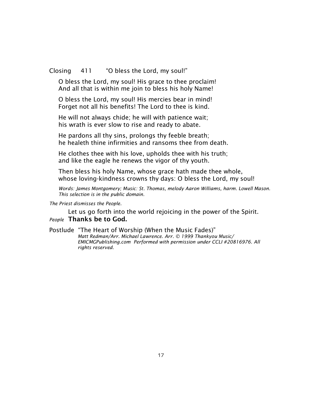Closing 411 "O bless the Lord, my soul!"

O bless the Lord, my soul! His grace to thee proclaim! And all that is within me join to bless his holy Name!

O bless the Lord, my soul! His mercies bear in mind! Forget not all his benefits! The Lord to thee is kind.

He will not always chide; he will with patience wait; his wrath is ever slow to rise and ready to abate.

He pardons all thy sins, prolongs thy feeble breath; he healeth thine infirmities and ransoms thee from death.

He clothes thee with his love, upholds thee with his truth; and like the eagle he renews the vigor of thy youth.

Then bless his holy Name, whose grace hath made thee whole, whose loving-kindness crowns thy days: O bless the Lord, my soul!

*Words: James Montgomery; Music: St. Thomas, melody Aaron Williams, harm. Lowell Mason. This selection is in the public domain.*

*The Priest dismisses the People.* 

Let us go forth into the world rejoicing in the power of the Spirit. *People* Thanks be to God.

# Postlude "The Heart of Worship (When the Music Fades)"

 *Matt Redman/Arr. Michael Lawrence. Arr. © 1999 Thankyou Music/ EMICMGPublishing.com Performed with permission under CCLI #20816976. All rights reserved.*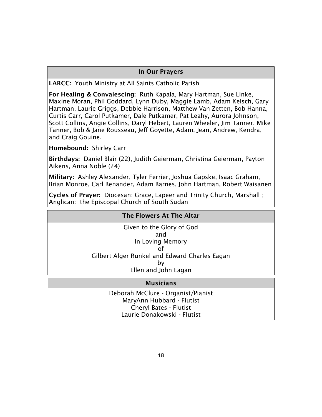# In Our Prayers

LARCC: Youth Ministry at All Saints Catholic Parish

For Healing & Convalescing: Ruth Kapala, Mary Hartman, Sue Linke, Maxine Moran, Phil Goddard, Lynn Duby, Maggie Lamb, Adam Kelsch, Gary Hartman, Laurie Griggs, Debbie Harrison, Matthew Van Zetten, Bob Hanna, Curtis Carr, Carol Putkamer, Dale Putkamer, Pat Leahy, Aurora Johnson, Scott Collins, Angie Collins, Daryl Hebert, Lauren Wheeler, Jim Tanner, Mike Tanner, Bob & Jane Rousseau, Jeff Goyette, Adam, Jean, Andrew, Kendra, and Craig Gouine.

Homebound: Shirley Carr

Birthdays: Daniel Blair (22), Judith Geierman, Christina Geierman, Payton Aikens, Anna Noble (24)

Military: Ashley Alexander, Tyler Ferrier, Joshua Gapske, Isaac Graham, Brian Monroe, Carl Benander, Adam Barnes, John Hartman, Robert Waisanen

Cycles of Prayer: Diocesan: Grace, Lapeer and Trinity Church, Marshall ; Anglican: the Episcopal Church of South Sudan

# The Flowers At The Altar

Given to the Glory of God and In Loving Memory of Gilbert Alger Runkel and Edward Charles Eagan by Ellen and John Eagan

# Musicians

Deborah McClure - Organist/Pianist MaryAnn Hubbard - Flutist Cheryl Bates - Flutist Laurie Donakowski - Flutist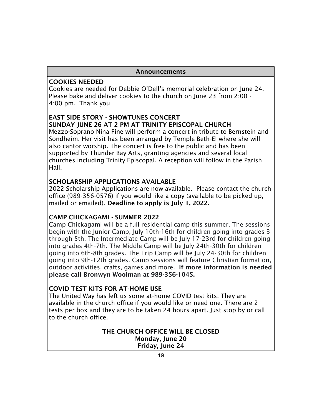# Announcements

# COOKIES NEEDED

Cookies are needed for Debbie O'Dell's memorial celebration on June 24. Please bake and deliver cookies to the church on June 23 from 2:00 - 4:00 pm. Thank you!

# EAST SIDE STORY - SHOWTUNES CONCERT SUNDAY JUNE 26 AT 2 PM AT TRINITY EPISCOPAL CHURCH

Mezzo-Soprano Nina Fine will perform a concert in tribute to Bernstein and Sondheim. Her visit has been arranged by Temple Beth-El where she will also cantor worship. The concert is free to the public and has been supported by Thunder Bay Arts, granting agencies and several local churches including Trinity Episcopal. A reception will follow in the Parish Hall.

# SCHOLARSHIP APPLICATIONS AVAILABLE

2022 Scholarship Applications are now available. Please contact the church office (989-356-0576) if you would like a copy (available to be picked up, mailed or emailed). Deadline to apply is July 1, 2022.

# CAMP CHICKAGAMI - SUMMER 2022

Camp Chickagami will be a full residential camp this summer. The sessions begin with the Junior Camp, July 10th-16th for children going into grades 3 through 5th. The Intermediate Camp will be July 17-23rd for children going into grades 4th-7th. The Middle Camp will be July 24th-30th for children going into 6th-8th grades. The Trip Camp will be July 24-30th for children going into 9th-12th grades. Camp sessions will feature Christian formation, outdoor activities, crafts, games and more. If more information is needed please call Bronwyn Woolman at 989-356-1045.

# COVID TEST KITS FOR AT-HOME USE

The United Way has left us some at-home COVID test kits. They are available in the church office if you would like or need one. There are 2 tests per box and they are to be taken 24 hours apart. Just stop by or call to the church office.

# THE CHURCH OFFICE WILL BE CLOSED Monday, June 20 Friday, June 24